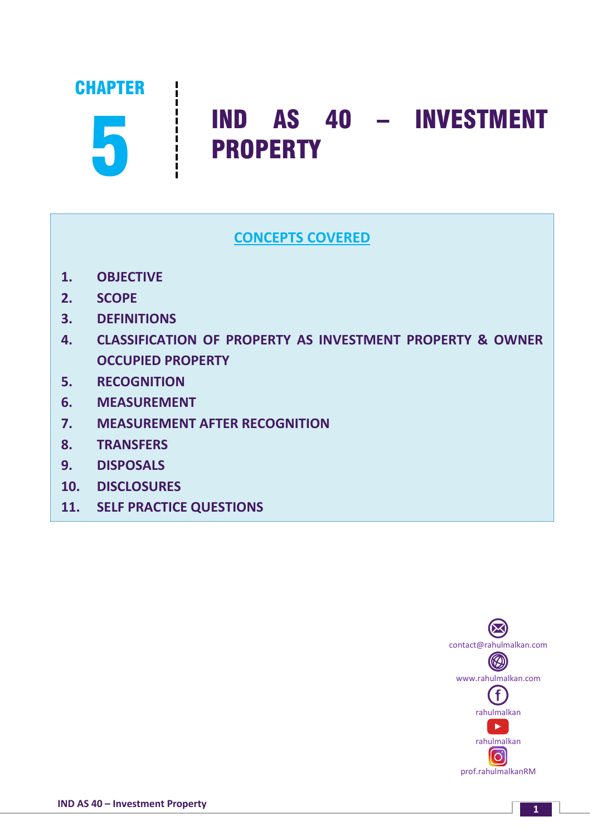

# **Fig.** IND AS 40 – INVESTMENT PROPERTY

# **CONCEPTS COVERED**

- **1. OBJECTIVE**
- **2. SCOPE**
- **3. DEFINITIONS**
- **4. CLASSIFICATION OF PROPERTY AS INVESTMENT PROPERTY & OWNER OCCUPIED PROPERTY**
- **5. RECOGNITION**
- **6. MEASUREMENT**
- **7. MEASUREMENT AFTER RECOGNITION**
- **8. TRANSFERS**
- **9. DISPOSALS**
- **10. DISCLOSURES**
- **11. SELF PRACTICE QUESTIONS**



**<sup>1</sup> IND AS 40 – Investment Property**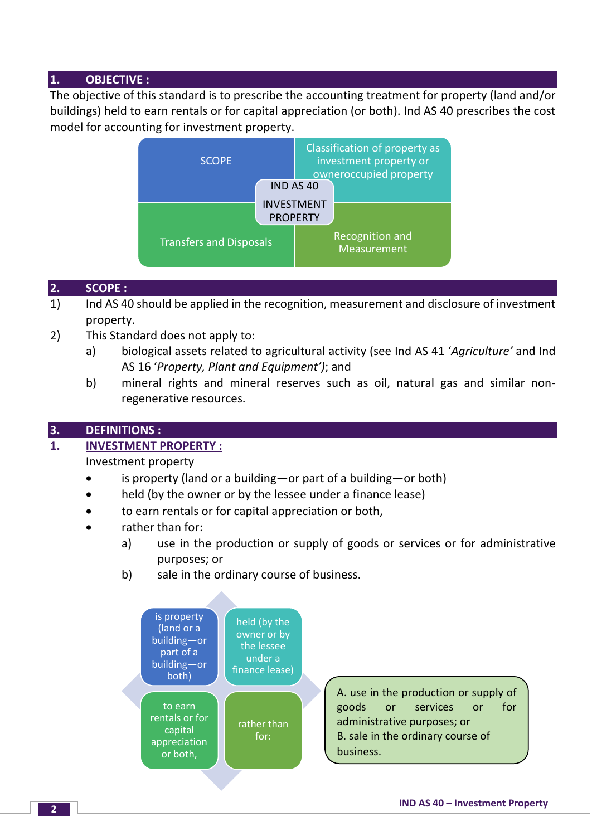# **1. OBJECTIVE :**

The objective of this standard is to prescribe the accounting treatment for property (land and/or buildings) held to earn rentals or for capital appreciation (or both). Ind AS 40 prescribes the cost model for accounting for investment property.



## **2. SCOPE :**

- 1) Ind AS 40 should be applied in the recognition, measurement and disclosure of investment property.
- 2) This Standard does not apply to:
	- a) biological assets related to agricultural activity (see Ind AS 41 '*Agriculture'* and Ind AS 16 '*Property, Plant and Equipment')*; and
	- b) mineral rights and mineral reserves such as oil, natural gas and similar nonregenerative resources.

#### **3. DEFINITIONS :**

#### **1. INVESTMENT PROPERTY :**

Investment property

- is property (land or a building—or part of a building—or both)
- held (by the owner or by the lessee under a finance lease)
- to earn rentals or for capital appreciation or both,
- rather than for:
	- a) use in the production or supply of goods or services or for administrative purposes; or
	- b) sale in the ordinary course of business.



A. use in the production or supply of goods or services or for administrative purposes; or B. sale in the ordinary course of business.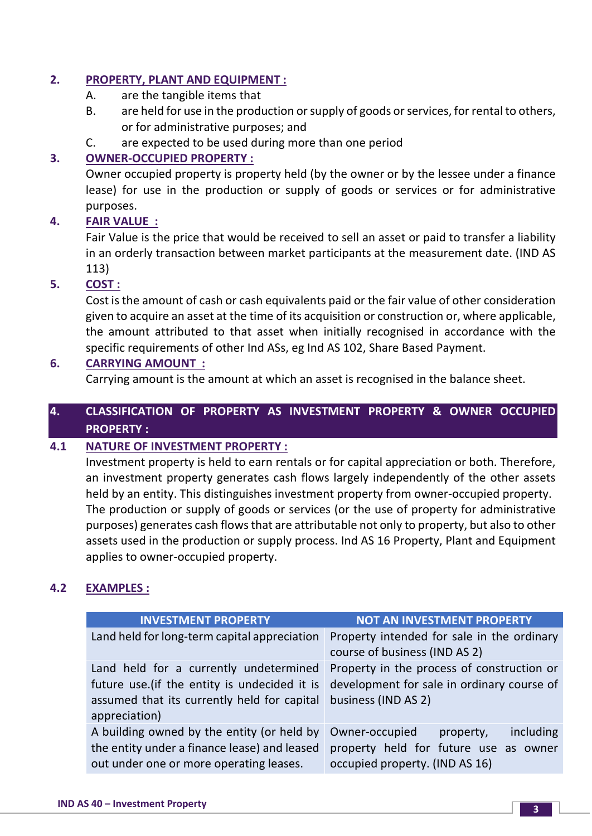# **2. PROPERTY, PLANT AND EQUIPMENT :**

- A. are the tangible items that
- B. are held for use in the production or supply of goods or services, for rental to others, or for administrative purposes; and
- C. are expected to be used during more than one period

# **3. OWNER-OCCUPIED PROPERTY :**

Owner occupied property is property held (by the owner or by the lessee under a finance lease) for use in the production or supply of goods or services or for administrative purposes.

## **4. FAIR VALUE :**

Fair Value is the price that would be received to sell an asset or paid to transfer a liability in an orderly transaction between market participants at the measurement date. (IND AS 113)

## **5. COST :**

Cost is the amount of cash or cash equivalents paid or the fair value of other consideration given to acquire an asset at the time of its acquisition or construction or, where applicable, the amount attributed to that asset when initially recognised in accordance with the specific requirements of other Ind ASs, eg Ind AS 102, Share Based Payment.

## **6. CARRYING AMOUNT :**

Carrying amount is the amount at which an asset is recognised in the balance sheet.

# **4. CLASSIFICATION OF PROPERTY AS INVESTMENT PROPERTY & OWNER OCCUPIED PROPERTY :**

# **4.1 NATURE OF INVESTMENT PROPERTY :**

Investment property is held to earn rentals or for capital appreciation or both. Therefore, an investment property generates cash flows largely independently of the other assets held by an entity. This distinguishes investment property from owner-occupied property. The production or supply of goods or services (or the use of property for administrative purposes) generates cash flows that are attributable not only to property, but also to other assets used in the production or supply process. Ind AS 16 Property, Plant and Equipment applies to owner-occupied property.

#### **4.2 EXAMPLES :**

| <b>INVESTMENT PROPERTY</b>                                                                                                                             | <b>NOT AN INVESTMENT PROPERTY</b>                                                                                   |
|--------------------------------------------------------------------------------------------------------------------------------------------------------|---------------------------------------------------------------------------------------------------------------------|
| Land held for long-term capital appreciation                                                                                                           | Property intended for sale in the ordinary<br>course of business (IND AS 2)                                         |
| Land held for a currently undetermined<br>future use.(if the entity is undecided it is<br>assumed that its currently held for capital<br>appreciation) | Property in the process of construction or<br>development for sale in ordinary course of<br>business (IND AS 2)     |
| A building owned by the entity (or held by<br>the entity under a finance lease) and leased<br>out under one or more operating leases.                  | Owner-occupied<br>including<br>property,<br>property held for future use as owner<br>occupied property. (IND AS 16) |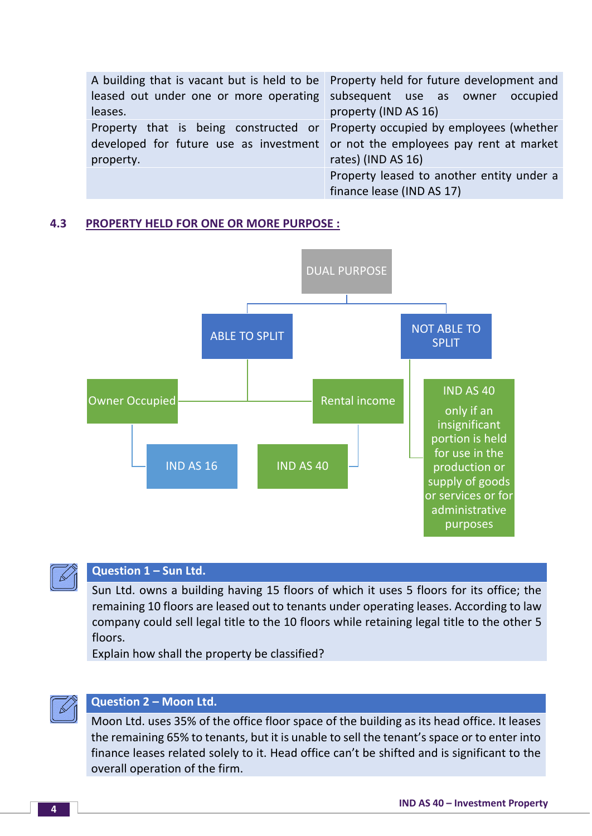| A building that is vacant but is held to be Property held for future development and |                                                                                |  |
|--------------------------------------------------------------------------------------|--------------------------------------------------------------------------------|--|
| leased out under one or more operating subsequent use as owner occupied              |                                                                                |  |
| leases.                                                                              | property (IND AS 16)                                                           |  |
| Property that is being constructed or Property occupied by employees (whether        |                                                                                |  |
|                                                                                      | developed for future use as investment or not the employees pay rent at market |  |
| property.                                                                            | rates) (IND AS 16)                                                             |  |
|                                                                                      | Property leased to another entity under a                                      |  |
|                                                                                      | finance lease (IND AS 17)                                                      |  |

#### **4.3 PROPERTY HELD FOR ONE OR MORE PURPOSE :**





# **Question 1 – Sun Ltd.**

Sun Ltd. owns a building having 15 floors of which it uses 5 floors for its office; the remaining 10 floors are leased out to tenants under operating leases. According to law company could sell legal title to the 10 floors while retaining legal title to the other 5 floors.

Explain how shall the property be classified?



## **Question 2 – Moon Ltd.**

Moon Ltd. uses 35% of the office floor space of the building as its head office. It leases the remaining 65% to tenants, but it is unable to sell the tenant's space or to enter into finance leases related solely to it. Head office can't be shifted and is significant to the overall operation of the firm.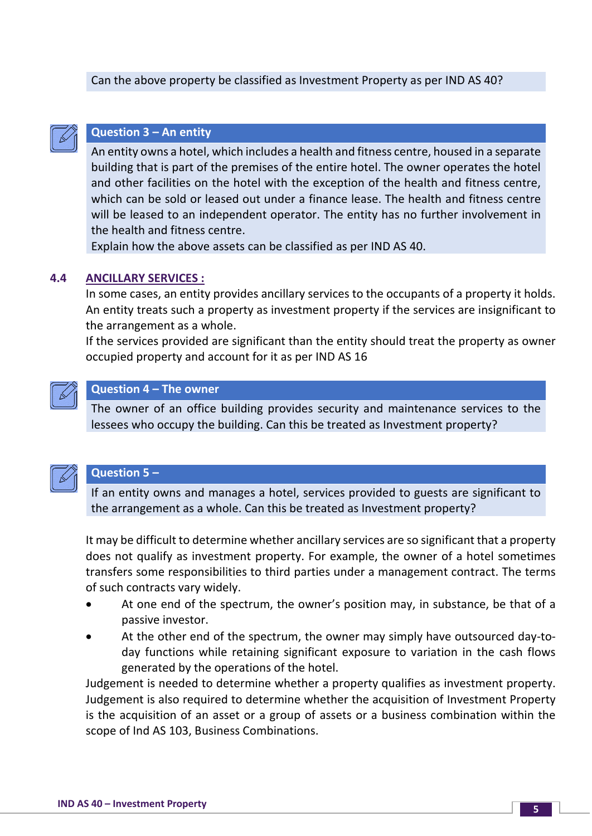#### Can the above property be classified as Investment Property as per IND AS 40?



#### **Question 3 – An entity**

An entity owns a hotel, which includes a health and fitness centre, housed in a separate building that is part of the premises of the entire hotel. The owner operates the hotel and other facilities on the hotel with the exception of the health and fitness centre, which can be sold or leased out under a finance lease. The health and fitness centre will be leased to an independent operator. The entity has no further involvement in the health and fitness centre.

Explain how the above assets can be classified as per IND AS 40.

#### **4.4 ANCILLARY SERVICES :**

In some cases, an entity provides ancillary services to the occupants of a property it holds. An entity treats such a property as investment property if the services are insignificant to the arrangement as a whole.

If the services provided are significant than the entity should treat the property as owner occupied property and account for it as per IND AS 16



#### **Question 4 – The owner**

The owner of an office building provides security and maintenance services to the lessees who occupy the building. Can this be treated as Investment property?



#### **Question 5 –**

If an entity owns and manages a hotel, services provided to guests are significant to the arrangement as a whole. Can this be treated as Investment property?

It may be difficult to determine whether ancillary services are so significant that a property does not qualify as investment property. For example, the owner of a hotel sometimes transfers some responsibilities to third parties under a management contract. The terms of such contracts vary widely.

- At one end of the spectrum, the owner's position may, in substance, be that of a passive investor.
- At the other end of the spectrum, the owner may simply have outsourced day-today functions while retaining significant exposure to variation in the cash flows generated by the operations of the hotel.

Judgement is needed to determine whether a property qualifies as investment property. Judgement is also required to determine whether the acquisition of Investment Property is the acquisition of an asset or a group of assets or a business combination within the scope of Ind AS 103, Business Combinations.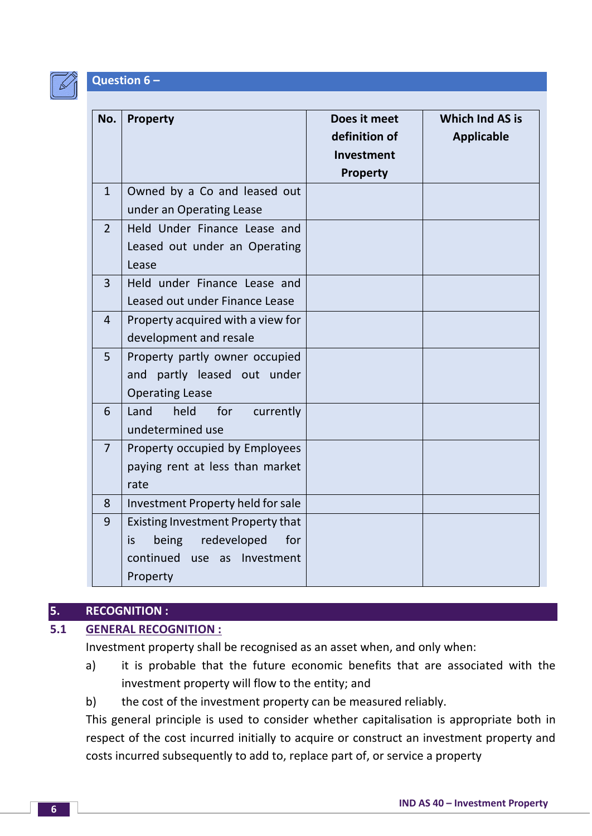

#### **Question 6 –**

| No.            | <b>Property</b>                                                                                                                   | Does it meet<br>definition of<br>Investment | <b>Which Ind AS is</b><br><b>Applicable</b> |
|----------------|-----------------------------------------------------------------------------------------------------------------------------------|---------------------------------------------|---------------------------------------------|
| $\mathbf{1}$   | Owned by a Co and leased out<br>under an Operating Lease                                                                          | <b>Property</b>                             |                                             |
| $\overline{2}$ | Held Under Finance Lease and<br>Leased out under an Operating<br>Lease                                                            |                                             |                                             |
| 3              | Held under Finance Lease and<br>Leased out under Finance Lease                                                                    |                                             |                                             |
| $\overline{4}$ | Property acquired with a view for<br>development and resale                                                                       |                                             |                                             |
| 5              | Property partly owner occupied<br>partly leased out under<br>and<br><b>Operating Lease</b>                                        |                                             |                                             |
| 6              | Land<br>held<br>for<br>currently<br>undetermined use                                                                              |                                             |                                             |
| $\overline{7}$ | Property occupied by Employees<br>paying rent at less than market<br>rate                                                         |                                             |                                             |
| 8              | Investment Property held for sale                                                                                                 |                                             |                                             |
| 9              | <b>Existing Investment Property that</b><br>redeveloped<br>being<br>for<br>is<br>continued<br>Investment<br>use<br>as<br>Property |                                             |                                             |

#### **5. RECOGNITION :**

# **5.1 GENERAL RECOGNITION :**

Investment property shall be recognised as an asset when, and only when:

- a) it is probable that the future economic benefits that are associated with the investment property will flow to the entity; and
- b) the cost of the investment property can be measured reliably.

This general principle is used to consider whether capitalisation is appropriate both in respect of the cost incurred initially to acquire or construct an investment property and costs incurred subsequently to add to, replace part of, or service a property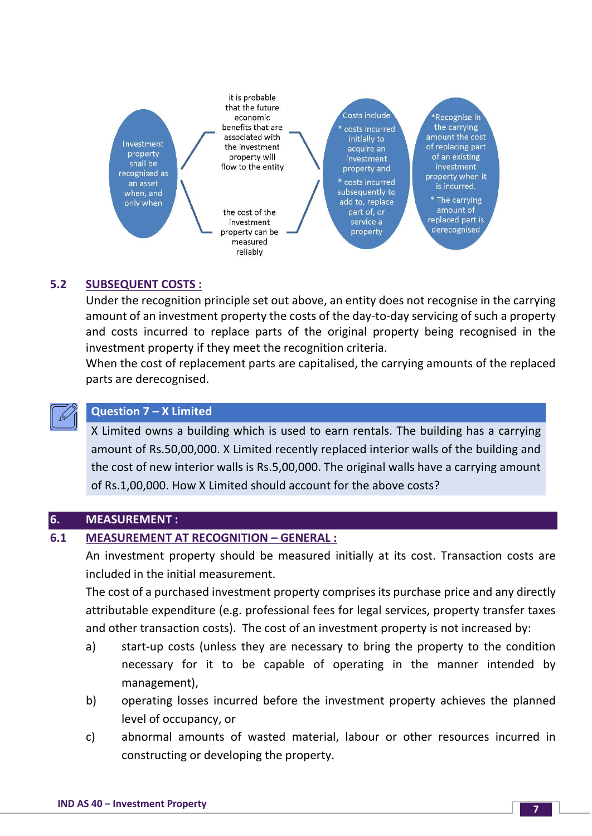

## **5.2 SUBSEQUENT COSTS :**

Under the recognition principle set out above, an entity does not recognise in the carrying amount of an investment property the costs of the day-to-day servicing of such a property and costs incurred to replace parts of the original property being recognised in the investment property if they meet the recognition criteria.

When the cost of replacement parts are capitalised, the carrying amounts of the replaced parts are derecognised.



# **Question 7 – X Limited**

X Limited owns a building which is used to earn rentals. The building has a carrying amount of Rs.50,00,000. X Limited recently replaced interior walls of the building and the cost of new interior walls is Rs.5,00,000. The original walls have a carrying amount of Rs.1,00,000. How X Limited should account for the above costs?

#### **6. MEASUREMENT :**

#### **6.1 MEASUREMENT AT RECOGNITION – GENERAL :**

An investment property should be measured initially at its cost. Transaction costs are included in the initial measurement.

The cost of a purchased investment property comprises its purchase price and any directly attributable expenditure (e.g. professional fees for legal services, property transfer taxes and other transaction costs). The cost of an investment property is not increased by:

- a) start-up costs (unless they are necessary to bring the property to the condition necessary for it to be capable of operating in the manner intended by management),
- b) operating losses incurred before the investment property achieves the planned level of occupancy, or
- c) abnormal amounts of wasted material, labour or other resources incurred in constructing or developing the property.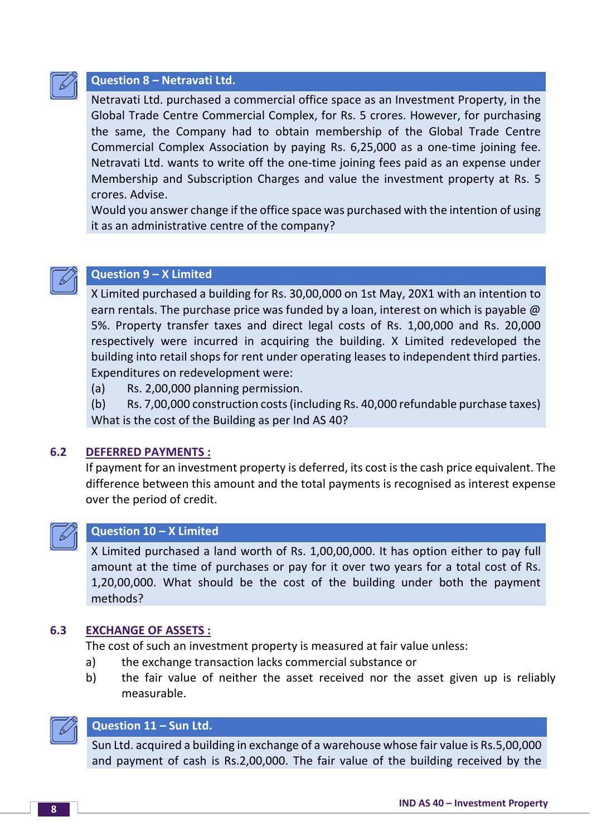

#### **Question 8 – Netravati Ltd.**

Netravati Ltd. purchased a commercial office space as an Investment Property, in the Global Trade Centre Commercial Complex, for Rs. 5 crores. However, for purchasing the same, the Company had to obtain membership of the Global Trade Centre Commercial Complex Association by paying Rs. 6,25,000 as a one-time joining fee. Netravati Ltd. wants to write off the one-time joining fees paid as an expense under Membership and Subscription Charges and value the investment property at Rs. 5 crores. Advise.

Would you answer change if the office space was purchased with the intention of using it as an administrative centre of the company?



# **Question 9 – X Limited**

X Limited purchased a building for Rs. 30,00,000 on 1st May, 20X1 with an intention to earn rentals. The purchase price was funded by a loan, interest on which is payable @ 5%. Property transfer taxes and direct legal costs of Rs. 1,00,000 and Rs. 20,000 respectively were incurred in acquiring the building. X Limited redeveloped the building into retail shops for rent under operating leases to independent third parties. Expenditures on redevelopment were:

(a) Rs. 2,00,000 planning permission.

(b) Rs. 7,00,000 construction costs (including Rs. 40,000 refundable purchase taxes) What is the cost of the Building as per Ind AS 40?

#### **6.2 DEFERRED PAYMENTS :**

If payment for an investment property is deferred, its cost is the cash price equivalent. The difference between this amount and the total payments is recognised as interest expense over the period of credit.



#### **Question 10 – X Limited**

X Limited purchased a land worth of Rs. 1,00,00,000. It has option either to pay full amount at the time of purchases or pay for it over two years for a total cost of Rs. 1,20,00,000. What should be the cost of the building under both the payment methods?

#### **6.3 EXCHANGE OF ASSETS :**

The cost of such an investment property is measured at fair value unless:

- a) the exchange transaction lacks commercial substance or
- b) the fair value of neither the asset received nor the asset given up is reliably measurable.



# **Question 11 – Sun Ltd.**

Sun Ltd. acquired a building in exchange of a warehouse whose fair value is Rs.5,00,000 and payment of cash is Rs.2,00,000. The fair value of the building received by the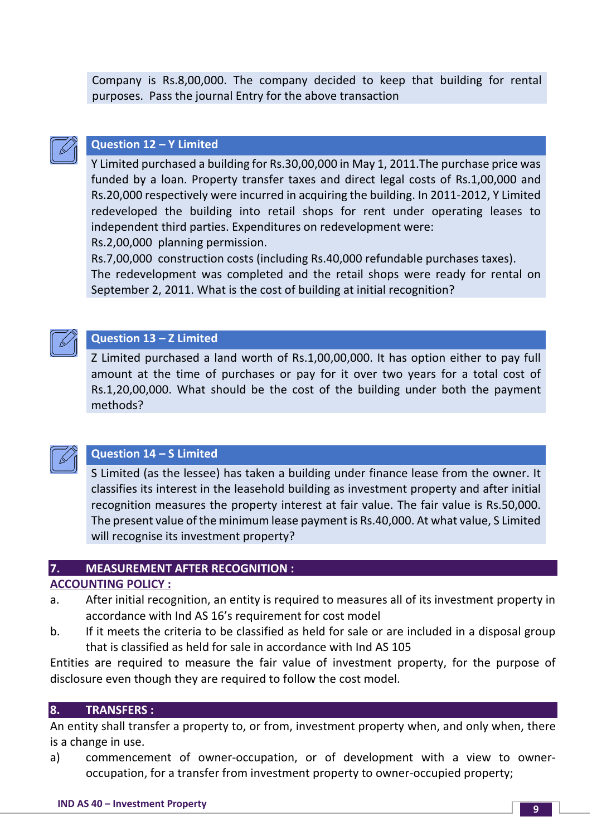Company is Rs.8,00,000. The company decided to keep that building for rental purposes. Pass the journal Entry for the above transaction



## **Question 12 – Y Limited**

Y Limited purchased a building for Rs.30,00,000 in May 1, 2011.The purchase price was funded by a loan. Property transfer taxes and direct legal costs of Rs.1,00,000 and Rs.20,000 respectively were incurred in acquiring the building. In 2011-2012, Y Limited redeveloped the building into retail shops for rent under operating leases to independent third parties. Expenditures on redevelopment were:

Rs.2,00,000 planning permission.

Rs.7,00,000 construction costs (including Rs.40,000 refundable purchases taxes). The redevelopment was completed and the retail shops were ready for rental on September 2, 2011. What is the cost of building at initial recognition?



# **Question 13 – Z Limited**

Z Limited purchased a land worth of Rs.1,00,00,000. It has option either to pay full amount at the time of purchases or pay for it over two years for a total cost of Rs.1,20,00,000. What should be the cost of the building under both the payment methods?



# **Question 14 – S Limited**

S Limited (as the lessee) has taken a building under finance lease from the owner. It classifies its interest in the leasehold building as investment property and after initial recognition measures the property interest at fair value. The fair value is Rs.50,000. The present value of the minimum lease payment is Rs.40,000. At what value, S Limited will recognise its investment property?

#### **7. MEASUREMENT AFTER RECOGNITION :**

# **ACCOUNTING POLICY :**

- a. After initial recognition, an entity is required to measures all of its investment property in accordance with Ind AS 16's requirement for cost model
- b. If it meets the criteria to be classified as held for sale or are included in a disposal group that is classified as held for sale in accordance with Ind AS 105

Entities are required to measure the fair value of investment property, for the purpose of disclosure even though they are required to follow the cost model.

#### **8. TRANSFERS :**

An entity shall transfer a property to, or from, investment property when, and only when, there is a change in use.

a) commencement of owner-occupation, or of development with a view to owneroccupation, for a transfer from investment property to owner-occupied property;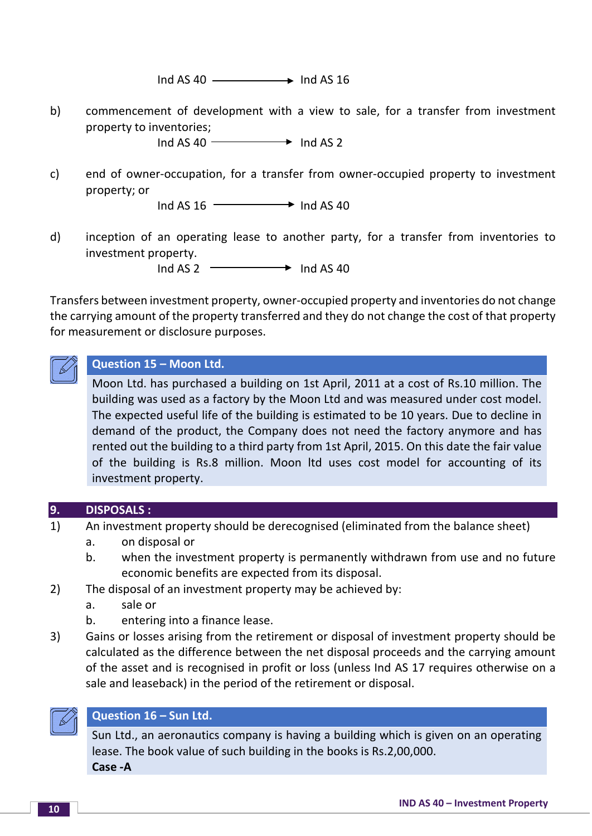$Ind AS 40$   $\longrightarrow$   $Ind AS 16$ 

b) commencement of development with a view to sale, for a transfer from investment property to inventories;

 $Ind AS 40$   $\longrightarrow$   $Ind AS 2$ 

c) end of owner-occupation, for a transfer from owner-occupied property to investment property; or

 $Ind AS 16$   $\longrightarrow$   $Ind AS 40$ 

d) inception of an operating lease to another party, for a transfer from inventories to investment property.

 $Ind AS 2 \longrightarrow Ind AS 40$ 

Transfers between investment property, owner-occupied property and inventories do not change the carrying amount of the property transferred and they do not change the cost of that property for measurement or disclosure purposes.



# **Question 15 – Moon Ltd.**

Moon Ltd. has purchased a building on 1st April, 2011 at a cost of Rs.10 million. The building was used as a factory by the Moon Ltd and was measured under cost model. The expected useful life of the building is estimated to be 10 years. Due to decline in demand of the product, the Company does not need the factory anymore and has rented out the building to a third party from 1st April, 2015. On this date the fair value of the building is Rs.8 million. Moon ltd uses cost model for accounting of its investment property.

#### **9. DISPOSALS :**

- 1) An investment property should be derecognised (eliminated from the balance sheet)
	- a. on disposal or
	- b. when the investment property is permanently withdrawn from use and no future economic benefits are expected from its disposal.
- 2) The disposal of an investment property may be achieved by:
	- a. sale or
	- b. entering into a finance lease.
- 3) Gains or losses arising from the retirement or disposal of investment property should be calculated as the difference between the net disposal proceeds and the carrying amount of the asset and is recognised in profit or loss (unless Ind AS 17 requires otherwise on a sale and leaseback) in the period of the retirement or disposal.



#### **Question 16 – Sun Ltd.**

Sun Ltd., an aeronautics company is having a building which is given on an operating lease. The book value of such building in the books is Rs.2,00,000. **Case -A**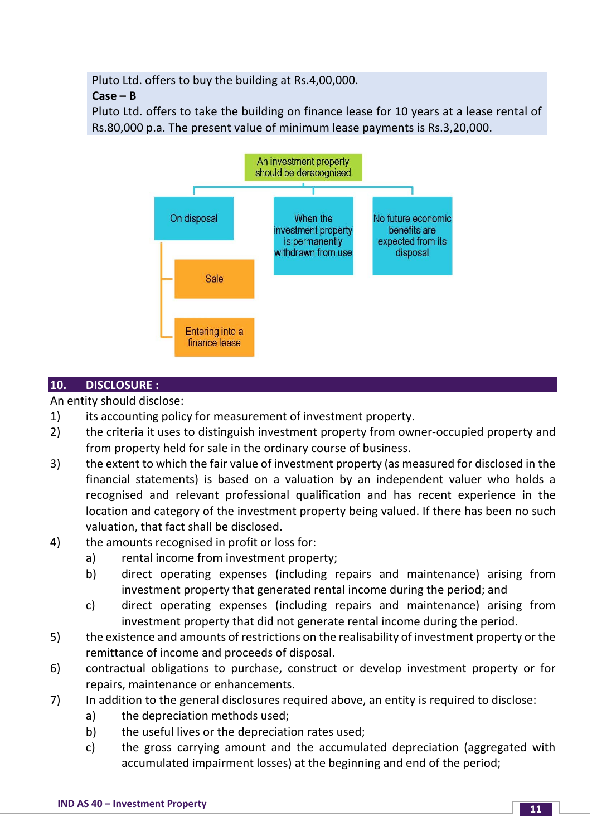Pluto Ltd. offers to buy the building at Rs.4,00,000.

## **Case – B**

Pluto Ltd. offers to take the building on finance lease for 10 years at a lease rental of Rs.80,000 p.a. The present value of minimum lease payments is Rs.3,20,000.



# **10. DISCLOSURE :**

An entity should disclose:

- 1) its accounting policy for measurement of investment property.
- 2) the criteria it uses to distinguish investment property from owner-occupied property and from property held for sale in the ordinary course of business.
- 3) the extent to which the fair value of investment property (as measured for disclosed in the financial statements) is based on a valuation by an independent valuer who holds a recognised and relevant professional qualification and has recent experience in the location and category of the investment property being valued. If there has been no such valuation, that fact shall be disclosed.
- 4) the amounts recognised in profit or loss for:
	- a) rental income from investment property;
	- b) direct operating expenses (including repairs and maintenance) arising from investment property that generated rental income during the period; and
	- c) direct operating expenses (including repairs and maintenance) arising from investment property that did not generate rental income during the period.
- 5) the existence and amounts of restrictions on the realisability of investment property or the remittance of income and proceeds of disposal.
- 6) contractual obligations to purchase, construct or develop investment property or for repairs, maintenance or enhancements.
- 7) In addition to the general disclosures required above, an entity is required to disclose:
	- a) the depreciation methods used;
	- b) the useful lives or the depreciation rates used;
	- c) the gross carrying amount and the accumulated depreciation (aggregated with accumulated impairment losses) at the beginning and end of the period;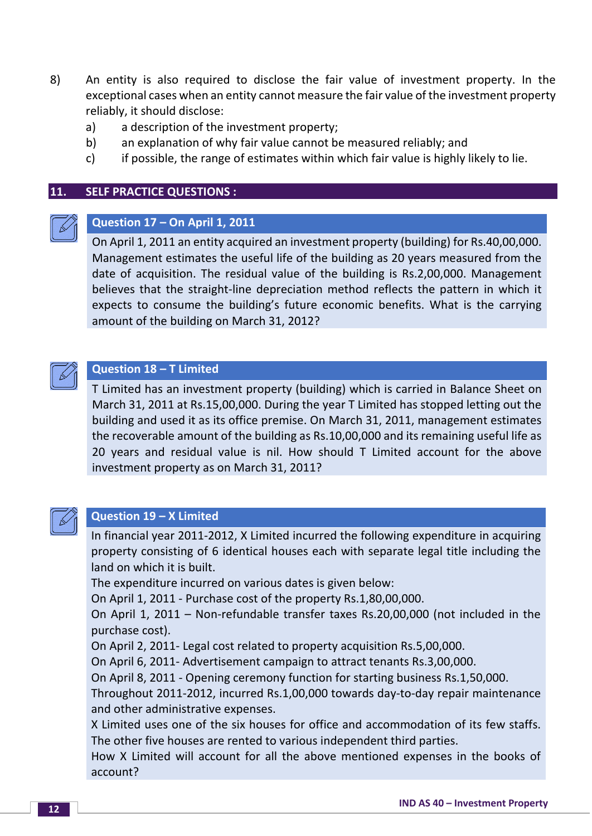- 8) An entity is also required to disclose the fair value of investment property. In the exceptional cases when an entity cannot measure the fair value of the investment property reliably, it should disclose:
	- a) a description of the investment property;
	- b) an explanation of why fair value cannot be measured reliably; and
	- c) if possible, the range of estimates within which fair value is highly likely to lie.

#### **11. SELF PRACTICE QUESTIONS :**



# **Question 17 – On April 1, 2011**

On April 1, 2011 an entity acquired an investment property (building) for Rs.40,00,000. Management estimates the useful life of the building as 20 years measured from the date of acquisition. The residual value of the building is Rs.2,00,000. Management believes that the straight-line depreciation method reflects the pattern in which it expects to consume the building's future economic benefits. What is the carrying amount of the building on March 31, 2012?



# **Question 18 – T Limited**

T Limited has an investment property (building) which is carried in Balance Sheet on March 31, 2011 at Rs.15,00,000. During the year T Limited has stopped letting out the building and used it as its office premise. On March 31, 2011, management estimates the recoverable amount of the building as Rs.10,00,000 and its remaining useful life as 20 years and residual value is nil. How should T Limited account for the above investment property as on March 31, 2011?



#### **Question 19 – X Limited**

In financial year 2011-2012, X Limited incurred the following expenditure in acquiring property consisting of 6 identical houses each with separate legal title including the land on which it is built.

The expenditure incurred on various dates is given below:

On April 1, 2011 - Purchase cost of the property Rs.1,80,00,000.

On April 1, 2011 – Non-refundable transfer taxes Rs.20,00,000 (not included in the purchase cost).

On April 2, 2011- Legal cost related to property acquisition Rs.5,00,000.

On April 6, 2011- Advertisement campaign to attract tenants Rs.3,00,000.

On April 8, 2011 - Opening ceremony function for starting business Rs.1,50,000.

Throughout 2011-2012, incurred Rs.1,00,000 towards day-to-day repair maintenance and other administrative expenses.

X Limited uses one of the six houses for office and accommodation of its few staffs. The other five houses are rented to various independent third parties.

How X Limited will account for all the above mentioned expenses in the books of account?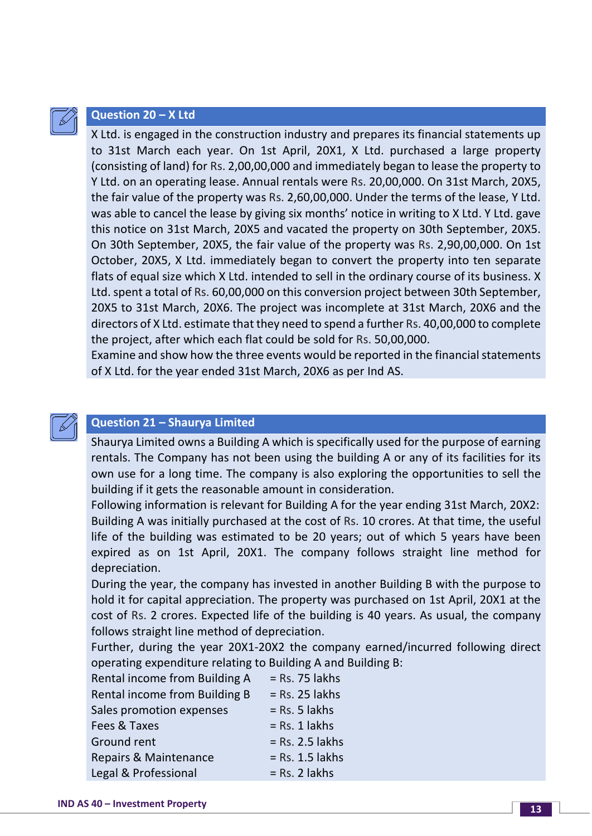

#### **Question 20 – X Ltd**

X Ltd. is engaged in the construction industry and prepares its financial statements up to 31st March each year. On 1st April, 20X1, X Ltd. purchased a large property (consisting of land) for Rs. 2,00,00,000 and immediately began to lease the property to Y Ltd. on an operating lease. Annual rentals were Rs. 20,00,000. On 31st March, 20X5, the fair value of the property was Rs. 2,60,00,000. Under the terms of the lease, Y Ltd. was able to cancel the lease by giving six months' notice in writing to X Ltd. Y Ltd. gave this notice on 31st March, 20X5 and vacated the property on 30th September, 20X5. On 30th September, 20X5, the fair value of the property was Rs. 2,90,00,000. On 1st October, 20X5, X Ltd. immediately began to convert the property into ten separate flats of equal size which X Ltd. intended to sell in the ordinary course of its business. X Ltd. spent a total of Rs. 60,00,000 on this conversion project between 30th September, 20X5 to 31st March, 20X6. The project was incomplete at 31st March, 20X6 and the directors of X Ltd. estimate that they need to spend a further Rs. 40,00,000 to complete the project, after which each flat could be sold for Rs. 50,00,000.

Examine and show how the three events would be reported in the financial statements of X Ltd. for the year ended 31st March, 20X6 as per Ind AS.

#### **Question 21 – Shaurya Limited**

Shaurya Limited owns a Building A which is specifically used for the purpose of earning rentals. The Company has not been using the building A or any of its facilities for its own use for a long time. The company is also exploring the opportunities to sell the building if it gets the reasonable amount in consideration.

Following information is relevant for Building A for the year ending 31st March, 20X2: Building A was initially purchased at the cost of Rs. 10 crores. At that time, the useful life of the building was estimated to be 20 years; out of which 5 years have been expired as on 1st April, 20X1. The company follows straight line method for depreciation.

During the year, the company has invested in another Building B with the purpose to hold it for capital appreciation. The property was purchased on 1st April, 20X1 at the cost of Rs. 2 crores. Expected life of the building is 40 years. As usual, the company follows straight line method of depreciation.

Further, during the year 20X1-20X2 the company earned/incurred following direct operating expenditure relating to Building A and Building B:

| Rental income from Building A        | $=$ Rs. 75 lakhs  |
|--------------------------------------|-------------------|
| <b>Rental income from Building B</b> | $=$ Rs. 25 lakhs  |
| Sales promotion expenses             | $=$ Rs. 5 lakhs   |
| Fees & Taxes                         | $=$ Rs. 1 lakhs   |
| Ground rent                          | $=$ Rs. 2.5 lakhs |
| <b>Repairs &amp; Maintenance</b>     | $=$ Rs. 1.5 lakhs |
| Legal & Professional                 | $=$ Rs. 2 lakhs   |